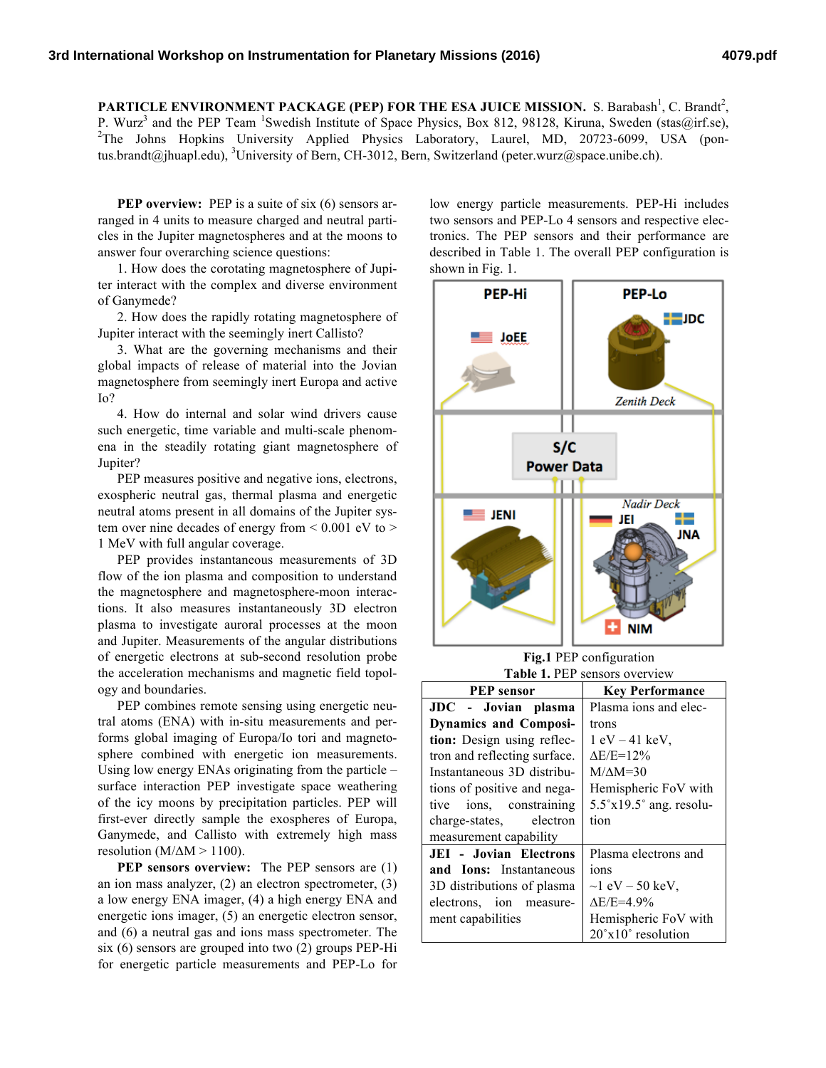PARTICLE ENVIRONMENT PACKAGE (PEP) FOR THE ESA JUICE MISSION. S. Barabash<sup>1</sup>, C. Brandt<sup>2</sup>, P. Wurz<sup>3</sup> and the PEP Team <sup>1</sup>Swedish Institute of Space Physics, Box 812, 98128, Kiruna, Sweden (stas@irf.se), 2022, 2022, 2022, 2022, 2022, 2022, 2022, 2022, 2022, 2022, 2022, 2022, 2022, 2022, 2022, 2022, 2022, 2022, 2 <sup>2</sup>The Johns Hopkins University Applied Physics Laboratory, Laurel, MD, 20723-6099, USA (pontus.brandt@jhuapl.edu), <sup>3</sup>University of Bern, CH-3012, Bern, Switzerland (peter.wurz@space.unibe.ch).

**PEP overview:** PEP is a suite of six (6) sensors arranged in 4 units to measure charged and neutral particles in the Jupiter magnetospheres and at the moons to answer four overarching science questions:

1. How does the corotating magnetosphere of Jupiter interact with the complex and diverse environment of Ganymede?

2. How does the rapidly rotating magnetosphere of Jupiter interact with the seemingly inert Callisto?

3. What are the governing mechanisms and their global impacts of release of material into the Jovian magnetosphere from seemingly inert Europa and active Io?

4. How do internal and solar wind drivers cause such energetic, time variable and multi-scale phenomena in the steadily rotating giant magnetosphere of Jupiter?

PEP measures positive and negative ions, electrons, exospheric neutral gas, thermal plasma and energetic neutral atoms present in all domains of the Jupiter system over nine decades of energy from  $\leq 0.001$  eV to  $>$ 1 MeV with full angular coverage.

PEP provides instantaneous measurements of 3D flow of the ion plasma and composition to understand the magnetosphere and magnetosphere-moon interactions. It also measures instantaneously 3D electron plasma to investigate auroral processes at the moon and Jupiter. Measurements of the angular distributions of energetic electrons at sub-second resolution probe the acceleration mechanisms and magnetic field topology and boundaries.

PEP combines remote sensing using energetic neutral atoms (ENA) with in-situ measurements and performs global imaging of Europa/Io tori and magnetosphere combined with energetic ion measurements. Using low energy ENAs originating from the particle – surface interaction PEP investigate space weathering of the icy moons by precipitation particles. PEP will first-ever directly sample the exospheres of Europa, Ganymede, and Callisto with extremely high mass resolution ( $M/\Delta M > 1100$ ).

**PEP sensors overview:** The PEP sensors are (1) an ion mass analyzer, (2) an electron spectrometer, (3) a low energy ENA imager, (4) a high energy ENA and energetic ions imager, (5) an energetic electron sensor, and (6) a neutral gas and ions mass spectrometer. The six (6) sensors are grouped into two (2) groups PEP-Hi for energetic particle measurements and PEP-Lo for

low energy particle measurements. PEP-Hi includes two sensors and PEP-Lo 4 sensors and respective electronics. The PEP sensors and their performance are described in Table 1. The overall PEP configuration is shown in Fig. 1.



**Fig.1** PEP configuration **Table 1.** PEP sensors overview

| <b>PEP</b> sensor               | <b>Key Performance</b>                  |
|---------------------------------|-----------------------------------------|
| JDC - Jovian plasma             | Plasma ions and elec-                   |
| <b>Dynamics and Composi-</b>    | trons                                   |
| tion: Design using reflec-      | $1 \text{ eV} - 41 \text{ keV}$ ,       |
| tron and reflecting surface.    | $AE/E=12%$                              |
| Instantaneous 3D distribu-      | $M/M = 30$                              |
| tions of positive and nega-     | Hemispheric FoV with                    |
| tive ions, constraining         | $5.5^{\circ}x19.5^{\circ}$ ang. resolu- |
| charge-states, electron         | tion                                    |
| measurement capability          |                                         |
| <b>JEI</b> - Jovian Electrons   | Plasma electrons and                    |
| and <b>Ions</b> : Instantaneous | ions                                    |
| 3D distributions of plasma      | $\sim$ 1 eV – 50 keV,                   |
| electrons, ion measure-         | $AE/E=4.9%$                             |
| ment capabilities               | Hemispheric FoV with                    |
|                                 | $20^{\circ}x10^{\circ}$ resolution      |